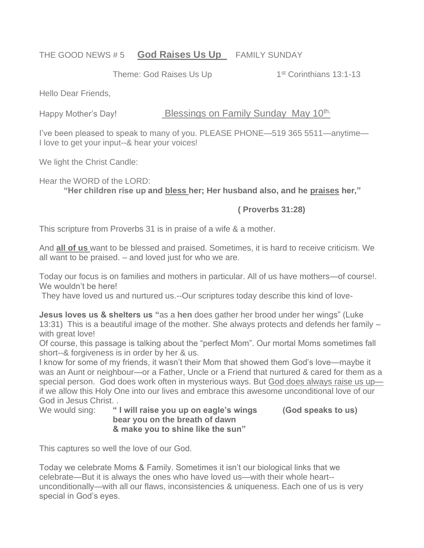## THE GOOD NEWS # 5 **God Raises Us Up** FAMILY SUNDAY

Theme: God Raises Us Up 1<sup>st</sup> Corinthians 13:1-13

Hello Dear Friends,

Happy Mother's Day! Blessings on Family Sunday May 10<sup>th.</sup>

I've been pleased to speak to many of you. PLEASE PHONE—519 365 5511—anytime— I love to get your input--& hear your voices!

We light the Christ Candle:

Hear the WORD of the LORD:

**"Her children rise up and bless her; Her husband also, and he praises her,"**

**( Proverbs 31:28)** 

This scripture from Proverbs 31 is in praise of a wife & a mother.

And **all of us** want to be blessed and praised. Sometimes, it is hard to receive criticism. We all want to be praised. – and loved just for who we are.

Today our focus is on families and mothers in particular. All of us have mothers—of course!. We wouldn't be here!

They have loved us and nurtured us.--Our scriptures today describe this kind of love-

**Jesus loves us & shelters us "**as a **hen** does gather her brood under her wings" (Luke 13:31) This is a beautiful image of the mother. She always protects and defends her family – with great love!

Of course, this passage is talking about the "perfect Mom". Our mortal Moms sometimes fall short--& forgiveness is in order by her & us.

I know for some of my friends, it wasn't their Mom that showed them God's love—maybe it was an Aunt or neighbour—or a Father, Uncle or a Friend that nurtured & cared for them as a special person. God does work often in mysterious ways. But God does always raise us upif we allow this Holy One into our lives and embrace this awesome unconditional love of our God in Jesus Christ. .

We would sing: **" I will raise you up on eagle's wings (God speaks to us) bear you on the breath of dawn & make you to shine like the sun"**

This captures so well the love of our God.

Today we celebrate Moms & Family. Sometimes it isn't our biological links that we celebrate—But it is always the ones who have loved us—with their whole heart- unconditionally—with all our flaws, inconsistencies & uniqueness. Each one of us is very special in God's eyes.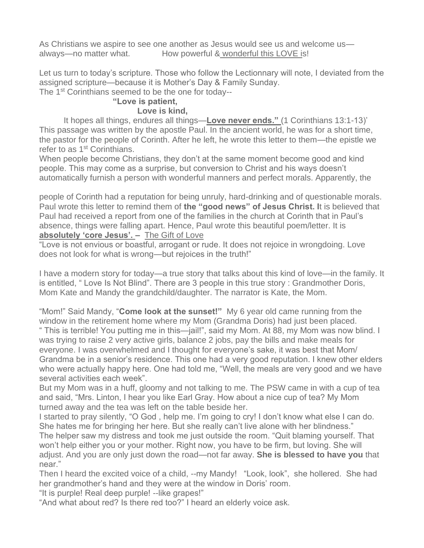As Christians we aspire to see one another as Jesus would see us and welcome us always—no matter what. How powerful & wonderful this LOVE is!

Let us turn to today's scripture. Those who follow the Lectionnary will note, I deviated from the assigned scripture—because it is Mother's Day & Family Sunday.

The 1<sup>st</sup> Corinthians seemed to be the one for today--

## **"Love is patient,**

## **Love is kind,**

It hopes all things, endures all things—**Love never ends."** (1 Corinthians 13:1-13)' This passage was written by the apostle Paul. In the ancient world, he was for a short time, the pastor for the people of Corinth. After he left, he wrote this letter to them—the epistle we refer to as 1<sup>st</sup> Corinthians.

When people become Christians, they don't at the same moment become good and kind people. This may come as a surprise, but conversion to Christ and his ways doesn't automatically furnish a person with wonderful manners and perfect morals. Apparently, the

people of Corinth had a reputation for being unruly, hard-drinking and of questionable morals. Paul wrote this letter to remind them of **the "good news" of Jesus Christ. I**t is believed that Paul had received a report from one of the families in the church at Corinth that in Paul's absence, things were falling apart. Hence, Paul wrote this beautiful poem/letter. It is **absolutely 'core Jesus'. –** The Gift of Love

"Love is not envious or boastful, arrogant or rude. It does not rejoice in wrongdoing. Love does not look for what is wrong—but rejoices in the truth!"

I have a modern story for today—a true story that talks about this kind of love—in the family. It is entitled, " Love Is Not Blind". There are 3 people in this true story : Grandmother Doris, Mom Kate and Mandy the grandchild/daughter. The narrator is Kate, the Mom.

"Mom!" Said Mandy, "**Come look at the sunset!"** My 6 year old came running from the window in the retirement home where my Mom (Grandma Doris) had just been placed.

" This is terrible! You putting me in this—jail!", said my Mom. At 88, my Mom was now blind. I was trying to raise 2 very active girls, balance 2 jobs, pay the bills and make meals for everyone. I was overwhelmed and I thought for everyone's sake, it was best that Mom/ Grandma be in a senior's residence. This one had a very good reputation. I knew other elders who were actually happy here. One had told me, "Well, the meals are very good and we have several activities each week".

But my Mom was in a huff, gloomy and not talking to me. The PSW came in with a cup of tea and said, "Mrs. Linton, I hear you like Earl Gray. How about a nice cup of tea? My Mom turned away and the tea was left on the table beside her.

I started to pray silently, "O God , help me. I'm going to cry! I don't know what else I can do. She hates me for bringing her here. But she really can't live alone with her blindness."

The helper saw my distress and took me just outside the room. "Quit blaming yourself. That won't help either you or your mother. Right now, you have to be firm, but loving. She will adjust. And you are only just down the road—not far away. **She is blessed to have you** that near."

Then I heard the excited voice of a child, --my Mandy! "Look, look", she hollered. She had her grandmother's hand and they were at the window in Doris' room.

"It is purple! Real deep purple! --like grapes!"

"And what about red? Is there red too?" I heard an elderly voice ask.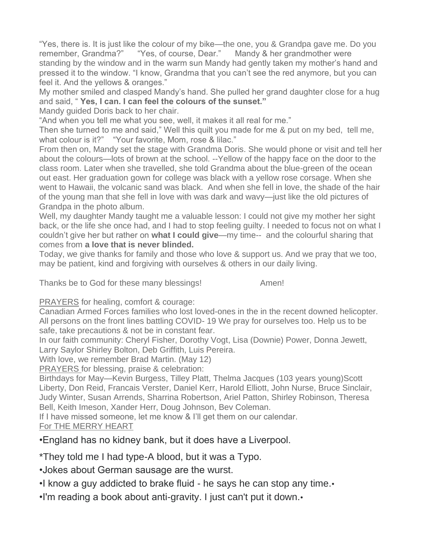"Yes, there is. It is just like the colour of my bike—the one, you & Grandpa gave me. Do you remember, Grandma?" "Yes, of course, Dear." Mandy & her grandmother were standing by the window and in the warm sun Mandy had gently taken my mother's hand and pressed it to the window. "I know, Grandma that you can't see the red anymore, but you can feel it. And the yellows & oranges."

My mother smiled and clasped Mandy's hand. She pulled her grand daughter close for a hug and said, " **Yes, I can. I can feel the colours of the sunset."**

Mandy guided Doris back to her chair.

"And when you tell me what you see, well, it makes it all real for me."

Then she turned to me and said," Well this quilt you made for me & put on my bed, tell me, what colour is it?" "Your favorite, Mom, rose & lilac."

From then on, Mandy set the stage with Grandma Doris. She would phone or visit and tell her about the colours—lots of brown at the school. --Yellow of the happy face on the door to the class room. Later when she travelled, she told Grandma about the blue-green of the ocean out east. Her graduation gown for college was black with a yellow rose corsage. When she went to Hawaii, the volcanic sand was black. And when she fell in love, the shade of the hair of the young man that she fell in love with was dark and wavy—just like the old pictures of Grandpa in the photo album.

Well, my daughter Mandy taught me a valuable lesson: I could not give my mother her sight back, or the life she once had, and I had to stop feeling guilty. I needed to focus not on what I couldn't give her but rather on **what I could give**—my time-- and the colourful sharing that comes from **a love that is never blinded.**

Today, we give thanks for family and those who love & support us. And we pray that we too, may be patient, kind and forgiving with ourselves & others in our daily living.

Thanks be to God for these many blessings! Amen!

PRAYERS for healing, comfort & courage:

Canadian Armed Forces families who lost loved-ones in the in the recent downed helicopter. All persons on the front lines battling COVID- 19 We pray for ourselves too. Help us to be safe, take precautions & not be in constant fear.

In our faith community: Cheryl Fisher, Dorothy Vogt, Lisa (Downie) Power, Donna Jewett, Larry Saylor Shirley Bolton, Deb Griffith, Luis Pereira.

With love, we remember Brad Martin. (May 12)

PRAYERS for blessing, praise & celebration:

Birthdays for May—Kevin Burgess, Tilley Platt, Thelma Jacques (103 years young)Scott Liberty, Don Reid, Francais Verster, Daniel Kerr, Harold Elliott, John Nurse, Bruce Sinclair, Judy Winter, Susan Arrends, Sharrina Robertson, Ariel Patton, Shirley Robinson, Theresa Bell, Keith Imeson, Xander Herr, Doug Johnson, Bev Coleman.

If I have missed someone, let me know & I'll get them on our calendar.

For THE MERRY HEART

## •England has no kidney bank, but it does have a Liverpool.

\*They told me I had type-A blood, but it was a Typo.

•Jokes about German sausage are the wurst.

•I know a guy addicted to brake fluid - he says he can stop any time.

•I'm reading a book about anti-gravity. I just can't put it down.•